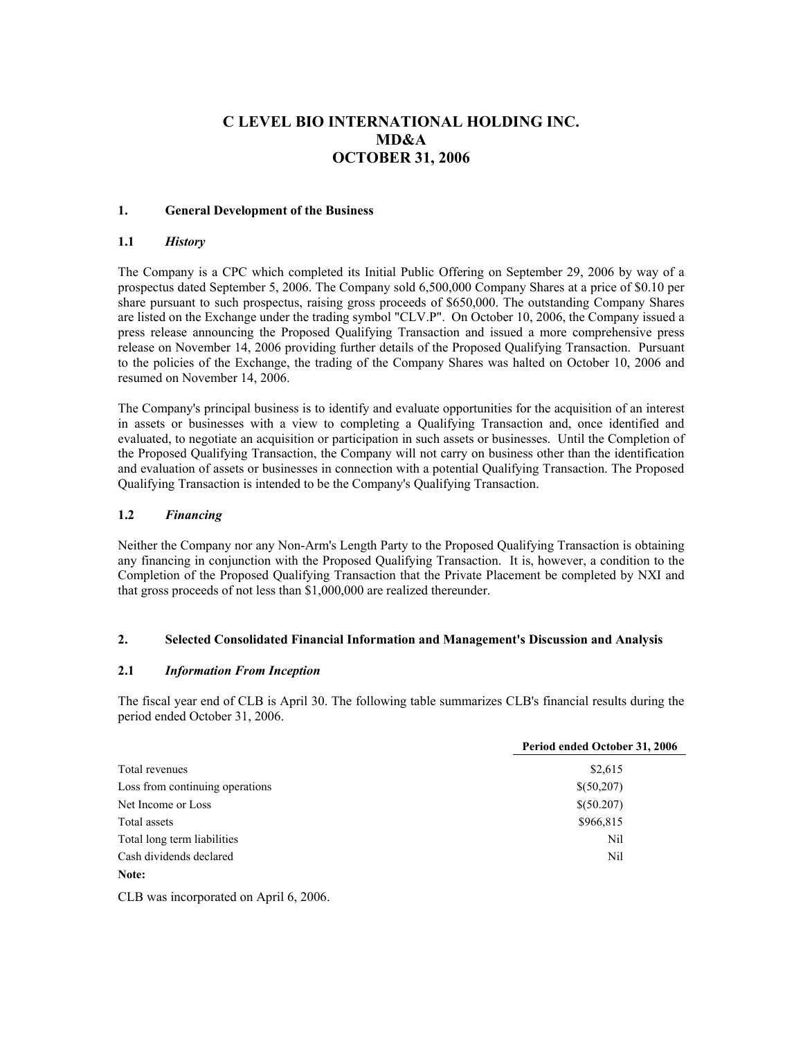# **C LEVEL BIO INTERNATIONAL HOLDING INC. MD&A OCTOBER 31, 2006**

# **1. General Development of the Business**

# **1.1** *History*

The Company is a CPC which completed its Initial Public Offering on September 29, 2006 by way of a prospectus dated September 5, 2006. The Company sold 6,500,000 Company Shares at a price of \$0.10 per share pursuant to such prospectus, raising gross proceeds of \$650,000. The outstanding Company Shares are listed on the Exchange under the trading symbol "CLV.P". On October 10, 2006, the Company issued a press release announcing the Proposed Qualifying Transaction and issued a more comprehensive press release on November 14, 2006 providing further details of the Proposed Qualifying Transaction. Pursuant to the policies of the Exchange, the trading of the Company Shares was halted on October 10, 2006 and resumed on November 14, 2006.

The Company's principal business is to identify and evaluate opportunities for the acquisition of an interest in assets or businesses with a view to completing a Qualifying Transaction and, once identified and evaluated, to negotiate an acquisition or participation in such assets or businesses. Until the Completion of the Proposed Qualifying Transaction, the Company will not carry on business other than the identification and evaluation of assets or businesses in connection with a potential Qualifying Transaction. The Proposed Qualifying Transaction is intended to be the Company's Qualifying Transaction.

# **1.2** *Financing*

Neither the Company nor any Non-Arm's Length Party to the Proposed Qualifying Transaction is obtaining any financing in conjunction with the Proposed Qualifying Transaction. It is, however, a condition to the Completion of the Proposed Qualifying Transaction that the Private Placement be completed by NXI and that gross proceeds of not less than \$1,000,000 are realized thereunder.

#### **2. Selected Consolidated Financial Information and Management's Discussion and Analysis**

# **2.1** *Information From Inception*

The fiscal year end of CLB is April 30. The following table summarizes CLB's financial results during the period ended October 31, 2006.

|                                 | Period ended October 31, 2006 |
|---------------------------------|-------------------------------|
| Total revenues                  | \$2,615                       |
| Loss from continuing operations | \$(50,207)                    |
| Net Income or Loss              | \$(50.207)                    |
| Total assets                    | \$966,815                     |
| Total long term liabilities     | Nil                           |
| Cash dividends declared         | Nil                           |
| Note:                           |                               |

CLB was incorporated on April 6, 2006.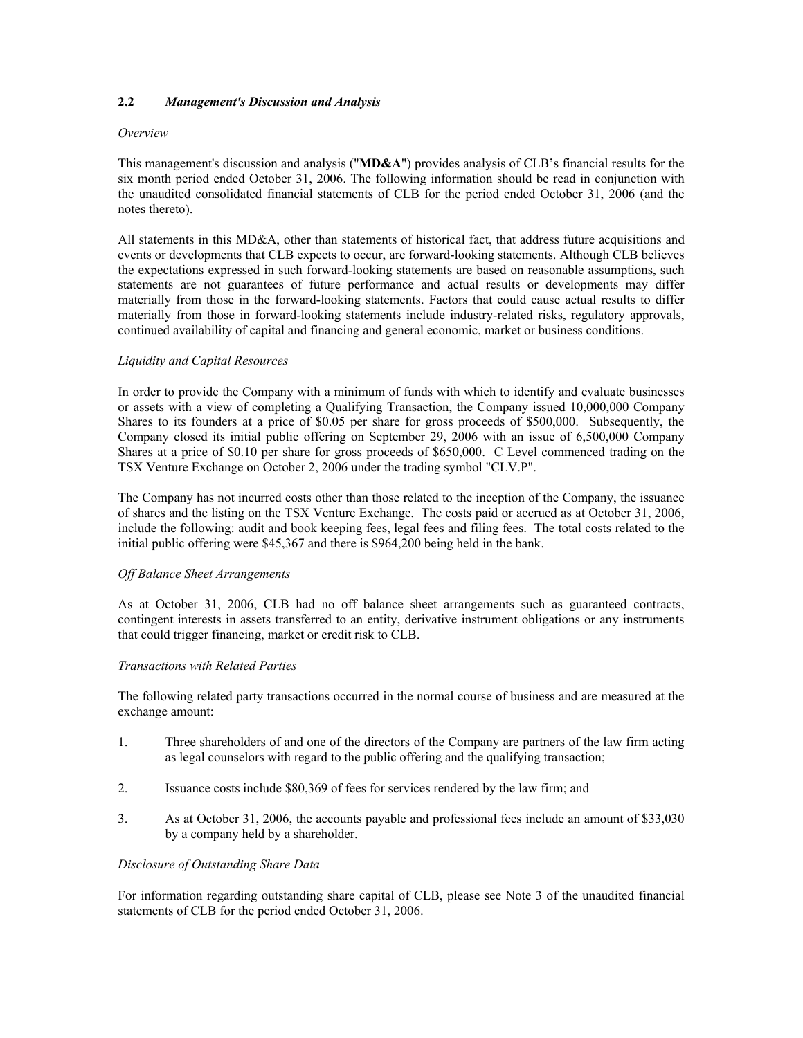# **2.2** *Management's Discussion and Analysis*

#### *Overview*

This management's discussion and analysis ("**MD&A**") provides analysis of CLB's financial results for the six month period ended October 31, 2006. The following information should be read in conjunction with the unaudited consolidated financial statements of CLB for the period ended October 31, 2006 (and the notes thereto).

All statements in this MD&A, other than statements of historical fact, that address future acquisitions and events or developments that CLB expects to occur, are forward-looking statements. Although CLB believes the expectations expressed in such forward-looking statements are based on reasonable assumptions, such statements are not guarantees of future performance and actual results or developments may differ materially from those in the forward-looking statements. Factors that could cause actual results to differ materially from those in forward-looking statements include industry-related risks, regulatory approvals, continued availability of capital and financing and general economic, market or business conditions.

#### *Liquidity and Capital Resources*

In order to provide the Company with a minimum of funds with which to identify and evaluate businesses or assets with a view of completing a Qualifying Transaction, the Company issued 10,000,000 Company Shares to its founders at a price of \$0.05 per share for gross proceeds of \$500,000. Subsequently, the Company closed its initial public offering on September 29, 2006 with an issue of 6,500,000 Company Shares at a price of \$0.10 per share for gross proceeds of \$650,000. C Level commenced trading on the TSX Venture Exchange on October 2, 2006 under the trading symbol "CLV.P".

The Company has not incurred costs other than those related to the inception of the Company, the issuance of shares and the listing on the TSX Venture Exchange. The costs paid or accrued as at October 31, 2006, include the following: audit and book keeping fees, legal fees and filing fees. The total costs related to the initial public offering were \$45,367 and there is \$964,200 being held in the bank.

#### *Off Balance Sheet Arrangements*

As at October 31, 2006, CLB had no off balance sheet arrangements such as guaranteed contracts, contingent interests in assets transferred to an entity, derivative instrument obligations or any instruments that could trigger financing, market or credit risk to CLB.

#### *Transactions with Related Parties*

The following related party transactions occurred in the normal course of business and are measured at the exchange amount:

- 1. Three shareholders of and one of the directors of the Company are partners of the law firm acting as legal counselors with regard to the public offering and the qualifying transaction;
- 2. Issuance costs include \$80,369 of fees for services rendered by the law firm; and
- 3. As at October 31, 2006, the accounts payable and professional fees include an amount of \$33,030 by a company held by a shareholder.

#### *Disclosure of Outstanding Share Data*

For information regarding outstanding share capital of CLB, please see Note 3 of the unaudited financial statements of CLB for the period ended October 31, 2006.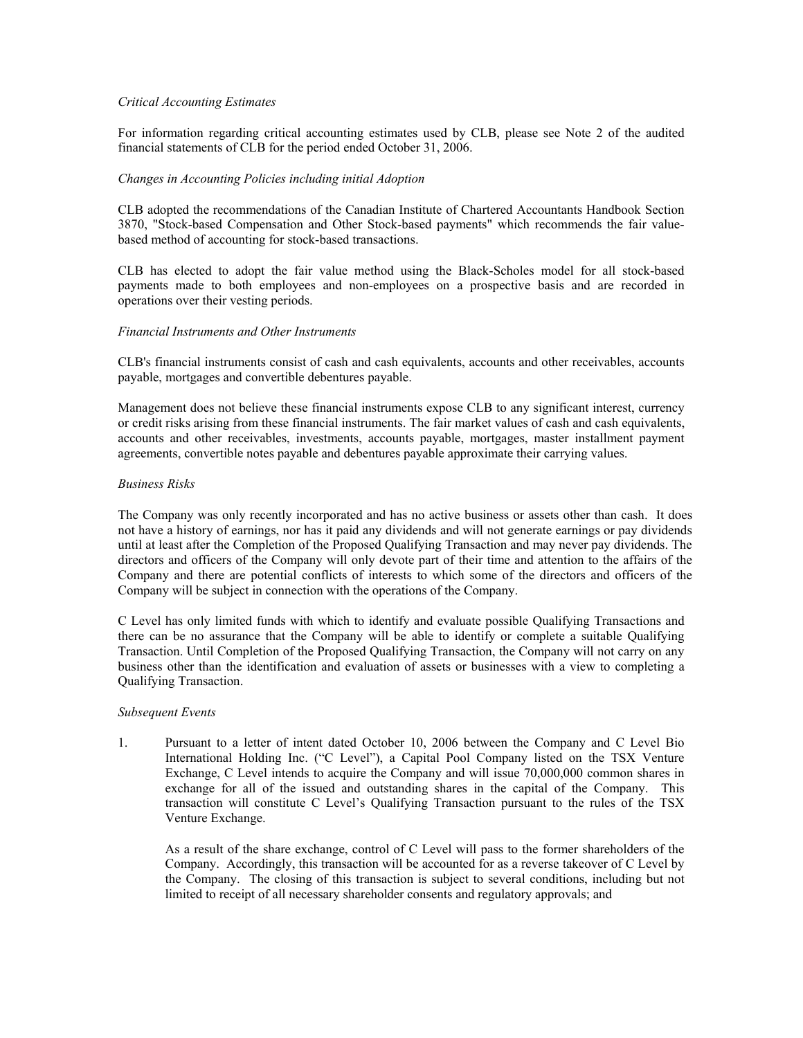# *Critical Accounting Estimates*

For information regarding critical accounting estimates used by CLB, please see Note 2 of the audited financial statements of CLB for the period ended October 31, 2006.

#### *Changes in Accounting Policies including initial Adoption*

CLB adopted the recommendations of the Canadian Institute of Chartered Accountants Handbook Section 3870, "Stock-based Compensation and Other Stock-based payments" which recommends the fair valuebased method of accounting for stock-based transactions.

CLB has elected to adopt the fair value method using the Black-Scholes model for all stock-based payments made to both employees and non-employees on a prospective basis and are recorded in operations over their vesting periods.

# *Financial Instruments and Other Instruments*

CLB's financial instruments consist of cash and cash equivalents, accounts and other receivables, accounts payable, mortgages and convertible debentures payable.

Management does not believe these financial instruments expose CLB to any significant interest, currency or credit risks arising from these financial instruments. The fair market values of cash and cash equivalents, accounts and other receivables, investments, accounts payable, mortgages, master installment payment agreements, convertible notes payable and debentures payable approximate their carrying values.

#### *Business Risks*

The Company was only recently incorporated and has no active business or assets other than cash. It does not have a history of earnings, nor has it paid any dividends and will not generate earnings or pay dividends until at least after the Completion of the Proposed Qualifying Transaction and may never pay dividends. The directors and officers of the Company will only devote part of their time and attention to the affairs of the Company and there are potential conflicts of interests to which some of the directors and officers of the Company will be subject in connection with the operations of the Company.

C Level has only limited funds with which to identify and evaluate possible Qualifying Transactions and there can be no assurance that the Company will be able to identify or complete a suitable Qualifying Transaction. Until Completion of the Proposed Qualifying Transaction, the Company will not carry on any business other than the identification and evaluation of assets or businesses with a view to completing a Qualifying Transaction.

#### *Subsequent Events*

1. Pursuant to a letter of intent dated October 10, 2006 between the Company and C Level Bio International Holding Inc. ("C Level"), a Capital Pool Company listed on the TSX Venture Exchange, C Level intends to acquire the Company and will issue 70,000,000 common shares in exchange for all of the issued and outstanding shares in the capital of the Company. This transaction will constitute C Level's Qualifying Transaction pursuant to the rules of the TSX Venture Exchange.

As a result of the share exchange, control of C Level will pass to the former shareholders of the Company. Accordingly, this transaction will be accounted for as a reverse takeover of C Level by the Company. The closing of this transaction is subject to several conditions, including but not limited to receipt of all necessary shareholder consents and regulatory approvals; and